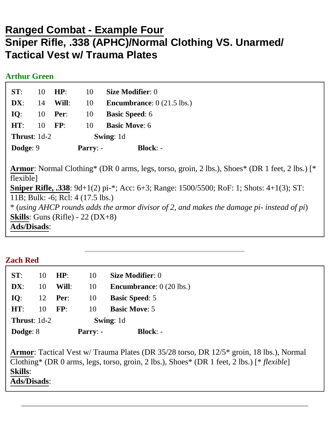# **Ranged Combat - Example Four Sniper Rifle, .338 (APHC)/Normal Clothing VS. Unarmed/ Tactical Vest w/ Trauma Plates**

### **Arthur Green**

| ST:                    | 10 | HP:        | 10               | <b>Size Modifier: 0</b>                    |
|------------------------|----|------------|------------------|--------------------------------------------|
| DX:                    | 14 | Will:      | 10               | <b>Encumbrance:</b> $0(21.5 \text{ lbs.})$ |
| IO:                    | 10 | Per:       | 10               | <b>Basic Speed: 6</b>                      |
| HT:                    | 10 | FP:        | 10               | <b>Basic Move: 6</b>                       |
| <b>Thrust</b> : $1d-2$ |    |            | <b>Swing:</b> 1d |                                            |
| Dodge: 9               |    | $Parry: -$ | $Block: -$       |                                            |

**Armor**: Normal Clothing\* (DR 0 arms, legs, torso, groin, 2 lbs.), Shoes\* (DR 1 feet, 2 lbs.) [\* flexible] **Sniper Rifle, .338**: 9d+1(2) pi-\*; Acc: 6+3; Range: 1500/5500; RoF: 1; Shots: 4+1(3); ST: 11B; Bulk: -6; Rcl: 4 (17.5 lbs.) \* (*using AHCP rounds adds the armor divisor of 2, and makes the damage pi- instead of pi*) **Skills**: Guns (Rifle) - 22 (DX+8) **Ads/Disads**:

| <b>Zach Red</b>       |    |                |                  |                                          |  |  |  |  |
|-----------------------|----|----------------|------------------|------------------------------------------|--|--|--|--|
| ST:                   | 10 | HP:            | 10               | <b>Size Modifier: 0</b>                  |  |  |  |  |
| $\mathbf{DX}$ :       | 10 | Will:          | 10               | <b>Encumbrance:</b> $0(20 \text{ lbs.})$ |  |  |  |  |
| IO:                   |    | 12 <b>Per:</b> | -10              | <b>Basic Speed: 5</b>                    |  |  |  |  |
| HT:                   | 10 | FP:            | 10               | <b>Basic Move: 5</b>                     |  |  |  |  |
| <b>Thrust:</b> $1d-2$ |    |                | <b>Swing: 1d</b> |                                          |  |  |  |  |

| Dodge: 8 | $Parry: -$ | <b>Block:</b> - |
|----------|------------|-----------------|
|          |            |                 |

**Armor**: Tactical Vest w/ Trauma Plates (DR 35/28 torso, DR 12/5\* groin, 18 lbs.), Normal Clothing\* (DR 0 arms, legs, torso, groin, 2 lbs.), Shoes\* (DR 1 feet, 2 lbs.) [\* *flexible*] **Skills**: **Ads/Disads**: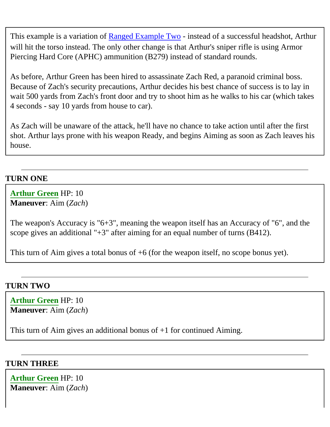This example is a variation of [Ranged Example Two](http://www.themook.net/rpg/examples/ranged/index.php?id=two) - instead of a successful headshot, Arthur will hit the torso instead. The only other change is that Arthur's sniper rifle is using Armor Piercing Hard Core (APHC) ammunition (B279) instead of standard rounds.

As before, Arthur Green has been hired to assassinate Zach Red, a paranoid criminal boss. Because of Zach's security precautions, Arthur decides his best chance of success is to lay in wait 500 yards from Zach's front door and try to shoot him as he walks to his car (which takes 4 seconds - say 10 yards from house to car).

As Zach will be unaware of the attack, he'll have no chance to take action until after the first shot. Arthur lays prone with his weapon Ready, and begins Aiming as soon as Zach leaves his house.

# **TURN ONE**

### **Arthur Green** HP: 10 **Maneuver**: Aim (*Zach*)

The weapon's Accuracy is "6+3", meaning the weapon itself has an Accuracy of "6", and the scope gives an additional "+3" after aiming for an equal number of turns (B412).

This turn of Aim gives a total bonus of +6 (for the weapon itself, no scope bonus yet).

## **TURN TWO**

**Arthur Green** HP: 10 **Maneuver**: Aim (*Zach*)

This turn of Aim gives an additional bonus of  $+1$  for continued Aiming.

### **TURN THREE**

**Arthur Green** HP: 10 **Maneuver**: Aim (*Zach*)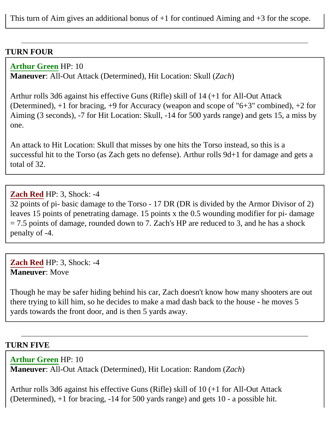This turn of Aim gives an additional bonus of  $+1$  for continued Aiming and  $+3$  for the scope.

#### **TURN FOUR**

**Arthur Green** HP: 10

**Maneuver**: All-Out Attack (Determined), Hit Location: Skull (*Zach*)

Arthur rolls 3d6 against his effective Guns (Rifle) skill of 14 (+1 for All-Out Attack (Determined), +1 for bracing, +9 for Accuracy (weapon and scope of "6+3" combined), +2 for Aiming (3 seconds), -7 for Hit Location: Skull, -14 for 500 yards range) and gets 15, a miss by one.

An attack to Hit Location: Skull that misses by one hits the Torso instead, so this is a successful hit to the Torso (as Zach gets no defense). Arthur rolls 9d+1 for damage and gets a total of 32.

#### **Zach Red** HP: 3, Shock: -4

32 points of pi- basic damage to the Torso - 17 DR (DR is divided by the Armor Divisor of 2) leaves 15 points of penetrating damage. 15 points x the 0.5 wounding modifier for pi- damage  $= 7.5$  points of damage, rounded down to 7. Zach's HP are reduced to 3, and he has a shock penalty of -4.

**Zach Red** HP: 3, Shock: -4 **Maneuver**: Move

Though he may be safer hiding behind his car, Zach doesn't know how many shooters are out there trying to kill him, so he decides to make a mad dash back to the house - he moves 5 yards towards the front door, and is then 5 yards away.

#### **TURN FIVE**

**Arthur Green** HP: 10

**Maneuver**: All-Out Attack (Determined), Hit Location: Random (*Zach*)

Arthur rolls 3d6 against his effective Guns (Rifle) skill of 10 (+1 for All-Out Attack (Determined), +1 for bracing, -14 for 500 yards range) and gets 10 - a possible hit.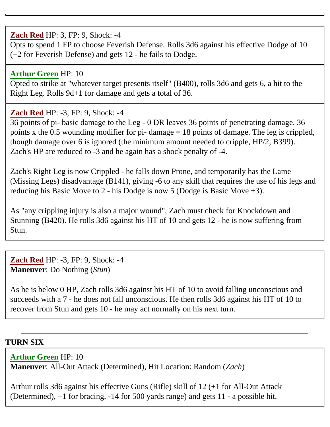# **Zach Red** HP: 3, FP: 9, Shock: -4

Opts to spend 1 FP to choose Feverish Defense. Rolls 3d6 against his effective Dodge of 10 (+2 for Feverish Defense) and gets 12 - he fails to Dodge.

# **Arthur Green** HP: 10

Opted to strike at "whatever target presents itself" (B400), rolls 3d6 and gets 6, a hit to the Right Leg. Rolls 9d+1 for damage and gets a total of 36.

## **Zach Red** HP: -3, FP: 9, Shock: -4

36 points of pi- basic damage to the Leg - 0 DR leaves 36 points of penetrating damage. 36 points x the 0.5 wounding modifier for pi- damage  $= 18$  points of damage. The leg is crippled, though damage over 6 is ignored (the minimum amount needed to cripple, HP/2, B399). Zach's HP are reduced to -3 and he again has a shock penalty of -4.

Zach's Right Leg is now Crippled - he falls down Prone, and temporarily has the Lame (Missing Legs) disadvantage (B141), giving -6 to any skill that requires the use of his legs and reducing his Basic Move to 2 - his Dodge is now 5 (Dodge is Basic Move +3).

As "any crippling injury is also a major wound", Zach must check for Knockdown and Stunning (B420). He rolls 3d6 against his HT of 10 and gets 12 - he is now suffering from Stun.

**Zach Red** HP: -3, FP: 9, Shock: -4 **Maneuver**: Do Nothing (*Stun*)

As he is below 0 HP, Zach rolls 3d6 against his HT of 10 to avoid falling unconscious and succeeds with a 7 - he does not fall unconscious. He then rolls 3d6 against his HT of 10 to recover from Stun and gets 10 - he may act normally on his next turn.

### **TURN SIX**

#### **Arthur Green** HP: 10

**Maneuver**: All-Out Attack (Determined), Hit Location: Random (*Zach*)

Arthur rolls 3d6 against his effective Guns (Rifle) skill of 12 (+1 for All-Out Attack (Determined), +1 for bracing, -14 for 500 yards range) and gets 11 - a possible hit.